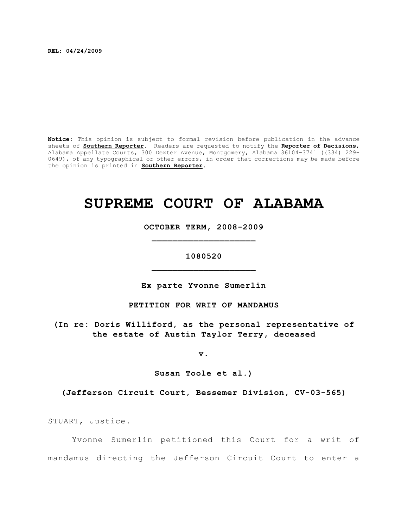**REL: 04/24/2009**

**Notice:** This opinion is subject to formal revision before publication in the advance sheets of **Southern Reporter**. Readers are requested to notify the **Reporter of Decisions**, Alabama Appellate Courts, 300 Dexter Avenue, Montgomery, Alabama 36104-3741 ((334) 229- 0649), of any typographical or other errors, in order that corrections may be made before the opinion is printed in **Southern Reporter**.

# **SUPREME COURT OF ALABAMA**

**OCTOBER TERM, 2008-2009 \_\_\_\_\_\_\_\_\_\_\_\_\_\_\_\_\_\_\_\_**

## **1080520 \_\_\_\_\_\_\_\_\_\_\_\_\_\_\_\_\_\_\_\_**

**Ex parte Yvonne Sumerlin**

## **PETITION FOR WRIT OF MANDAMUS**

**(In re: Doris Williford, as the personal representative of the estate of Austin Taylor Terry, deceased**

**v.**

**Susan Toole et al.)**

**(Jefferson Circuit Court, Bessemer Division, CV-03-565)**

STUART, Justice.

Yvonne Sumerlin petitioned this Court for a writ of mandamus directing the Jefferson Circuit Court to enter a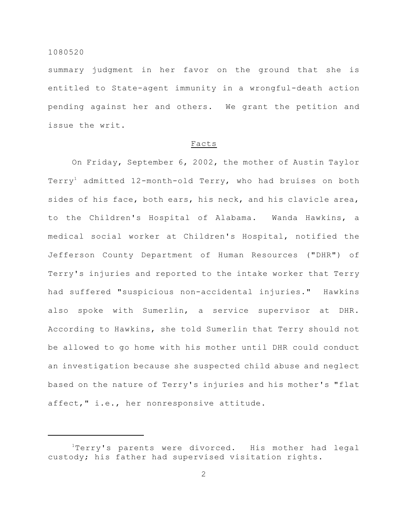summary judgment in her favor on the ground that she is entitled to State-agent immunity in a wrongful-death action pending against her and others. We grant the petition and issue the writ.

#### Facts

On Friday, September 6, 2002, the mother of Austin Taylor Terry<sup>1</sup> admitted 12-month-old Terry, who had bruises on both sides of his face, both ears, his neck, and his clavicle area, to the Children's Hospital of Alabama. Wanda Hawkins, a medical social worker at Children's Hospital, notified the Jefferson County Department of Human Resources ("DHR") of Terry's injuries and reported to the intake worker that Terry had suffered "suspicious non-accidental injuries." Hawkins also spoke with Sumerlin, a service supervisor at DHR. According to Hawkins, she told Sumerlin that Terry should not be allowed to go home with his mother until DHR could conduct an investigation because she suspected child abuse and neglect based on the nature of Terry's injuries and his mother's "flat affect," i.e., her nonresponsive attitude.

 $1$ Terry's parents were divorced. His mother had legal custody; his father had supervised visitation rights.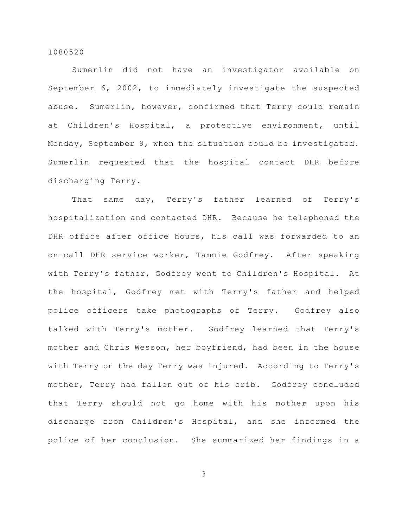Sumerlin did not have an investigator available on September 6, 2002, to immediately investigate the suspected abuse. Sumerlin, however, confirmed that Terry could remain at Children's Hospital, a protective environment, until Monday, September 9, when the situation could be investigated. Sumerlin requested that the hospital contact DHR before discharging Terry.

That same day, Terry's father learned of Terry's hospitalization and contacted DHR. Because he telephoned the DHR office after office hours, his call was forwarded to an on-call DHR service worker, Tammie Godfrey. After speaking with Terry's father, Godfrey went to Children's Hospital. At the hospital, Godfrey met with Terry's father and helped police officers take photographs of Terry. Godfrey also talked with Terry's mother. Godfrey learned that Terry's mother and Chris Wesson, her boyfriend, had been in the house with Terry on the day Terry was injured. According to Terry's mother, Terry had fallen out of his crib. Godfrey concluded that Terry should not go home with his mother upon his discharge from Children's Hospital, and she informed the police of her conclusion. She summarized her findings in a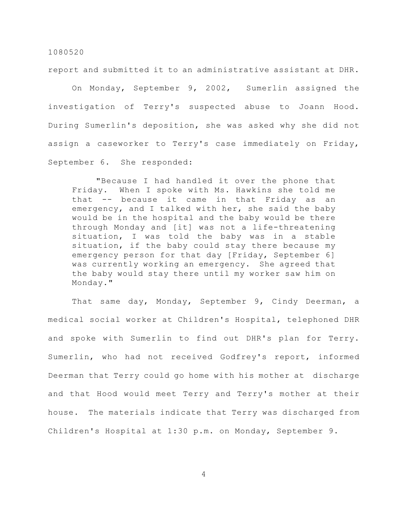report and submitted it to an administrative assistant at DHR.

On Monday, September 9, 2002, Sumerlin assigned the investigation of Terry's suspected abuse to Joann Hood. During Sumerlin's deposition, she was asked why she did not assign a caseworker to Terry's case immediately on Friday, September 6. She responded:

"Because I had handled it over the phone that Friday. When I spoke with Ms. Hawkins she told me that -- because it came in that Friday as an emergency, and I talked with her, she said the baby would be in the hospital and the baby would be there through Monday and [it] was not a life-threatening situation, I was told the baby was in a stable situation, if the baby could stay there because my emergency person for that day [Friday, September 6] was currently working an emergency. She agreed that the baby would stay there until my worker saw him on Monday."

That same day, Monday, September 9, Cindy Deerman, a medical social worker at Children's Hospital, telephoned DHR and spoke with Sumerlin to find out DHR's plan for Terry. Sumerlin, who had not received Godfrey's report, informed Deerman that Terry could go home with his mother at discharge and that Hood would meet Terry and Terry's mother at their house. The materials indicate that Terry was discharged from Children's Hospital at 1:30 p.m. on Monday, September 9.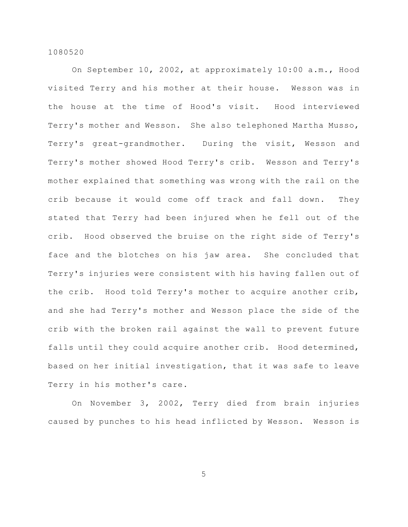On September 10, 2002, at approximately 10:00 a.m., Hood visited Terry and his mother at their house. Wesson was in the house at the time of Hood's visit. Hood interviewed Terry's mother and Wesson. She also telephoned Martha Musso, Terry's great-grandmother. During the visit, Wesson and Terry's mother showed Hood Terry's crib. Wesson and Terry's mother explained that something was wrong with the rail on the crib because it would come off track and fall down. They stated that Terry had been injured when he fell out of the crib. Hood observed the bruise on the right side of Terry's face and the blotches on his jaw area. She concluded that Terry's injuries were consistent with his having fallen out of the crib. Hood told Terry's mother to acquire another crib, and she had Terry's mother and Wesson place the side of the crib with the broken rail against the wall to prevent future falls until they could acquire another crib. Hood determined, based on her initial investigation, that it was safe to leave Terry in his mother's care.

On November 3, 2002, Terry died from brain injuries caused by punches to his head inflicted by Wesson. Wesson is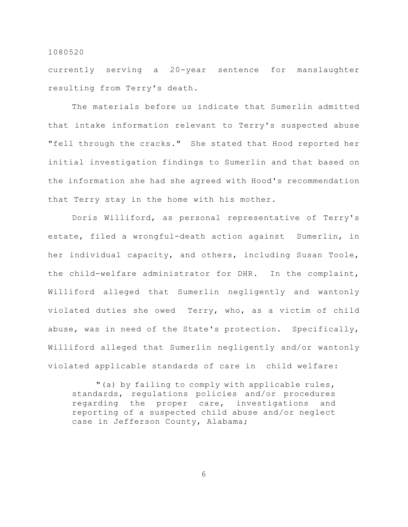currently serving a 20-year sentence for manslaughter resulting from Terry's death.

The materials before us indicate that Sumerlin admitted that intake information relevant to Terry's suspected abuse "fell through the cracks." She stated that Hood reported her initial investigation findings to Sumerlin and that based on the information she had she agreed with Hood's recommendation that Terry stay in the home with his mother.

Doris Williford, as personal representative of Terry's estate, filed a wrongful-death action against Sumerlin, in her individual capacity, and others, including Susan Toole, the child-welfare administrator for DHR. In the complaint, Williford alleged that Sumerlin negligently and wantonly violated duties she owed Terry, who, as a victim of child abuse, was in need of the State's protection. Specifically, Williford alleged that Sumerlin negligently and/or wantonly violated applicable standards of care in child welfare:

"(a) by failing to comply with applicable rules, standards, regulations policies and/or procedures regarding the proper care, investigations and reporting of a suspected child abuse and/or neglect case in Jefferson County, Alabama;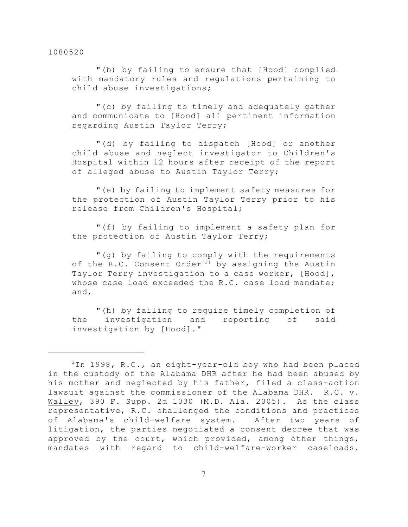"(b) by failing to ensure that [Hood] complied with mandatory rules and regulations pertaining to child abuse investigations;

"(c) by failing to timely and adequately gather and communicate to [Hood] all pertinent information regarding Austin Taylor Terry;

"(d) by failing to dispatch [Hood] or another child abuse and neglect investigator to Children's Hospital within 12 hours after receipt of the report of alleged abuse to Austin Taylor Terry;

"(e) by failing to implement safety measures for the protection of Austin Taylor Terry prior to his release from Children's Hospital;

"(f) by failing to implement a safety plan for the protection of Austin Taylor Terry;

"(g) by failing to comply with the requirements of the  $R.C.$  Consent Order<sup>[2]</sup> by assigning the Austin Taylor Terry investigation to a case worker, [Hood], whose case load exceeded the R.C. case load mandate; and,

"(h) by failing to require timely completion of the investigation and reporting of said investigation by [Hood]."

 $2$ In 1998, R.C., an eight-year-old boy who had been placed in the custody of the Alabama DHR after he had been abused by his mother and neglected by his father, filed a class-action lawsuit against the commissioner of the Alabama DHR. R.C. v. Walley, 390 F. Supp. 2d 1030 (M.D. Ala. 2005). As the class representative, R.C. challenged the conditions and practices of Alabama's child-welfare system. After two years of litigation, the parties negotiated a consent decree that was approved by the court, which provided, among other things, mandates with regard to child-welfare-worker caseloads.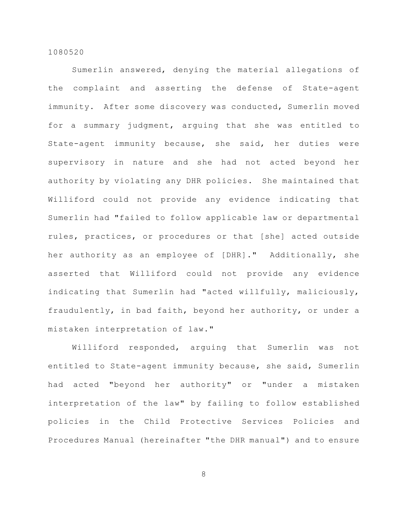Sumerlin answered, denying the material allegations of the complaint and asserting the defense of State-agent immunity. After some discovery was conducted, Sumerlin moved for a summary judgment, arguing that she was entitled to State-agent immunity because, she said, her duties were supervisory in nature and she had not acted beyond her authority by violating any DHR policies. She maintained that Williford could not provide any evidence indicating that Sumerlin had "failed to follow applicable law or departmental rules, practices, or procedures or that [she] acted outside her authority as an employee of [DHR]." Additionally, she asserted that Williford could not provide any evidence indicating that Sumerlin had "acted willfully, maliciously, fraudulently, in bad faith, beyond her authority, or under a mistaken interpretation of law."

Williford responded, arguing that Sumerlin was not entitled to State-agent immunity because, she said, Sumerlin had acted "beyond her authority" or "under a mistaken interpretation of the law" by failing to follow established policies in the Child Protective Services Policies and Procedures Manual (hereinafter "the DHR manual") and to ensure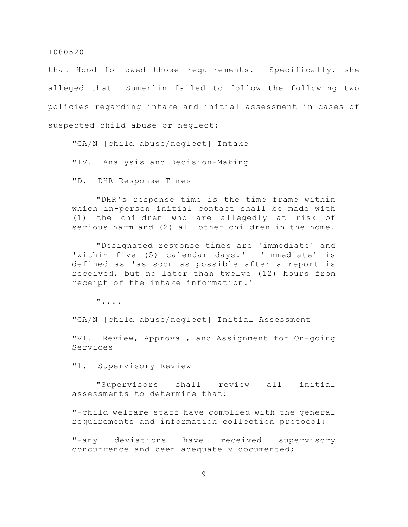that Hood followed those requirements. Specifically, she alleged that Sumerlin failed to follow the following two policies regarding intake and initial assessment in cases of suspected child abuse or neglect:

"CA/N [child abuse/neglect] Intake

"IV. Analysis and Decision-Making

"D. DHR Response Times

"DHR's response time is the time frame within which in-person initial contact shall be made with (1) the children who are allegedly at risk of serious harm and (2) all other children in the home.

"Designated response times are 'immediate' and 'within five (5) calendar days.' 'Immediate' is defined as 'as soon as possible after a report is received, but no later than twelve (12) hours from receipt of the intake information.'

"....

"CA/N [child abuse/neglect] Initial Assessment

"VI. Review, Approval, and Assignment for On-going Services

"1. Supervisory Review

"Supervisors shall review all initial assessments to determine that:

"-child welfare staff have complied with the general requirements and information collection protocol;

"-any deviations have received supervisory concurrence and been adequately documented;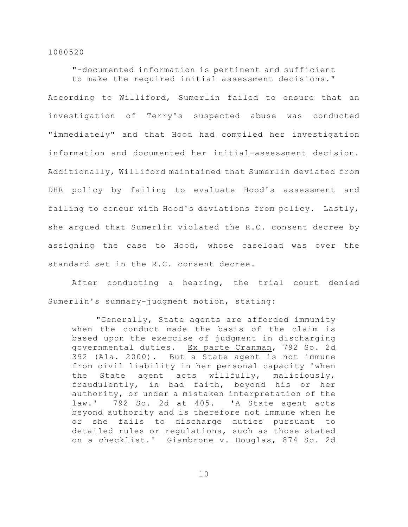"-documented information is pertinent and sufficient to make the required initial assessment decisions." According to Williford, Sumerlin failed to ensure that an investigation of Terry's suspected abuse was conducted "immediately" and that Hood had compiled her investigation information and documented her initial-assessment decision. Additionally, Williford maintained that Sumerlin deviated from DHR policy by failing to evaluate Hood's assessment and failing to concur with Hood's deviations from policy. Lastly, she argued that Sumerlin violated the R.C. consent decree by assigning the case to Hood, whose caseload was over the standard set in the R.C. consent decree.

After conducting a hearing, the trial court denied Sumerlin's summary-judgment motion, stating:

"Generally, State agents are afforded immunity when the conduct made the basis of the claim is based upon the exercise of judgment in discharging governmental duties. Ex parte Cranman, 792 So. 2d 392 (Ala. 2000). But a State agent is not immune from civil liability in her personal capacity 'when the State agent acts willfully, maliciously, fraudulently, in bad faith, beyond his or her authority, or under a mistaken interpretation of the law.' 792 So. 2d at 405. 'A State agent acts beyond authority and is therefore not immune when he or she fails to discharge duties pursuant to detailed rules or regulations, such as those stated on a checklist.' Giambrone v. Douglas, 874 So. 2d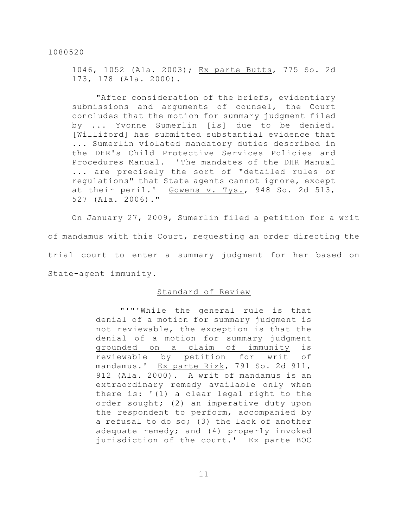1046, 1052 (Ala. 2003); Ex parte Butts, 775 So. 2d 173, 178 (Ala. 2000).

"After consideration of the briefs, evidentiary submissions and arguments of counsel, the Court concludes that the motion for summary judgment filed by ... Yvonne Sumerlin [is] due to be denied. [Williford] has submitted substantial evidence that ... Sumerlin violated mandatory duties described in the DHR's Child Protective Services Policies and Procedures Manual. 'The mandates of the DHR Manual ... are precisely the sort of "detailed rules or regulations" that State agents cannot ignore, except at their peril.' Gowens v. Tys., 948 So. 2d 513, 527 (Ala. 2006)."

On January 27, 2009, Sumerlin filed a petition for a writ of mandamus with this Court, requesting an order directing the trial court to enter a summary judgment for her based on State-agent immunity.

## Standard of Review

"'"'While the general rule is that denial of a motion for summary judgment is not reviewable, the exception is that the denial of a motion for summary judgment grounded on a claim of immunity is reviewable by petition for writ of mandamus.' Ex parte Rizk, 791 So. 2d 911, 912 (Ala. 2000). A writ of mandamus is an extraordinary remedy available only when there is: '(1) a clear legal right to the order sought; (2) an imperative duty upon the respondent to perform, accompanied by a refusal to do so; (3) the lack of another adequate remedy; and (4) properly invoked jurisdiction of the court.' Ex parte BOC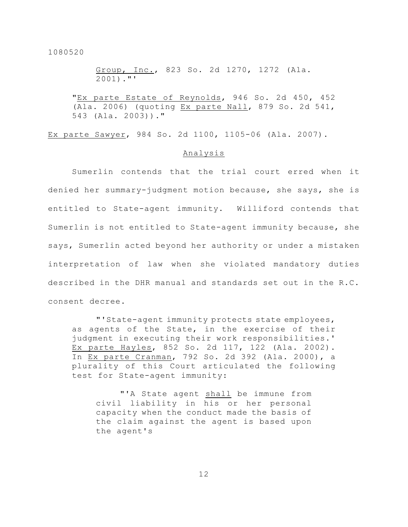Group, Inc., 823 So. 2d 1270, 1272 (Ala. 2001)."'

"Ex parte Estate of Reynolds, 946 So. 2d 450, 452 (Ala. 2006) (quoting Ex parte Nall, 879 So. 2d 541, 543 (Ala. 2003))."

Ex parte Sawyer, 984 So. 2d 1100, 1105-06 (Ala. 2007).

## Analysis

Sumerlin contends that the trial court erred when it denied her summary-judgment motion because, she says, she is entitled to State-agent immunity. Williford contends that Sumerlin is not entitled to State-agent immunity because, she says, Sumerlin acted beyond her authority or under a mistaken interpretation of law when she violated mandatory duties described in the DHR manual and standards set out in the R.C. consent decree.

"'State-agent immunity protects state employees, as agents of the State, in the exercise of their judgment in executing their work responsibilities.' Ex parte Hayles, 852 So. 2d 117, 122 (Ala. 2002). In Ex parte Cranman, 792 So. 2d 392 (Ala. 2000), a plurality of this Court articulated the following test for State-agent immunity:

"'A State agent shall be immune from civil liability in his or her personal capacity when the conduct made the basis of the claim against the agent is based upon the agent's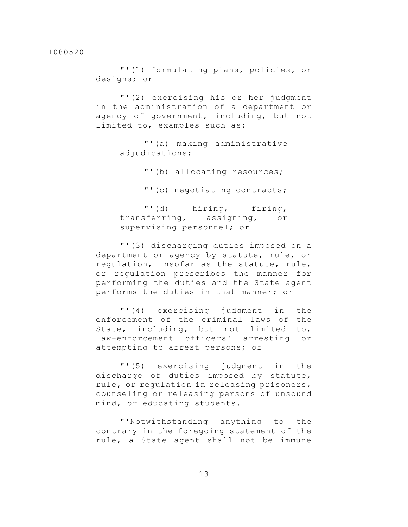"'(1) formulating plans, policies, or designs; or

"'(2) exercising his or her judgment in the administration of a department or agency of government, including, but not limited to, examples such as:

> "'(a) making administrative adjudications;

> > "'(b) allocating resources;

"'(c) negotiating contracts;

"'(d) hiring, firing, transferring, assigning, or supervising personnel; or

"'(3) discharging duties imposed on a department or agency by statute, rule, or regulation, insofar as the statute, rule, or regulation prescribes the manner for performing the duties and the State agent performs the duties in that manner; or

"'(4) exercising judgment in the enforcement of the criminal laws of the State, including, but not limited to, law-enforcement officers' arresting or attempting to arrest persons; or

"'(5) exercising judgment in the discharge of duties imposed by statute, rule, or regulation in releasing prisoners, counseling or releasing persons of unsound mind, or educating students.

"'Notwithstanding anything to the contrary in the foregoing statement of the rule, a State agent shall not be immune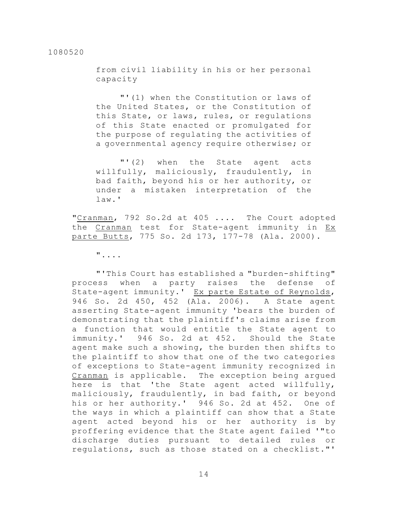from civil liability in his or her personal capacity

"'(1) when the Constitution or laws of the United States, or the Constitution of this State, or laws, rules, or regulations of this State enacted or promulgated for the purpose of regulating the activities of a governmental agency require otherwise; or

"'(2) when the State agent acts willfully, maliciously, fraudulently, in bad faith, beyond his or her authority, or under a mistaken interpretation of the law.'

"Cranman, 792 So.2d at 405 .... The Court adopted the Cranman test for State-agent immunity in Ex parte Butts, 775 So. 2d 173, 177-78 (Ala. 2000).

"....

"'This Court has established a "burden-shifting" process when a party raises the defense of State-agent immunity.' Ex parte Estate of Reynolds, 946 So. 2d 450, 452 (Ala. 2006). A State agent asserting State-agent immunity 'bears the burden of demonstrating that the plaintiff's claims arise from a function that would entitle the State agent to immunity.' 946 So. 2d at 452. Should the State agent make such a showing, the burden then shifts to the plaintiff to show that one of the two categories of exceptions to State-agent immunity recognized in Cranman is applicable. The exception being argued here is that 'the State agent acted willfully, maliciously, fraudulently, in bad faith, or beyond his or her authority.' 946 So. 2d at 452. One of the ways in which a plaintiff can show that a State agent acted beyond his or her authority is by proffering evidence that the State agent failed '"to discharge duties pursuant to detailed rules or regulations, such as those stated on a checklist."'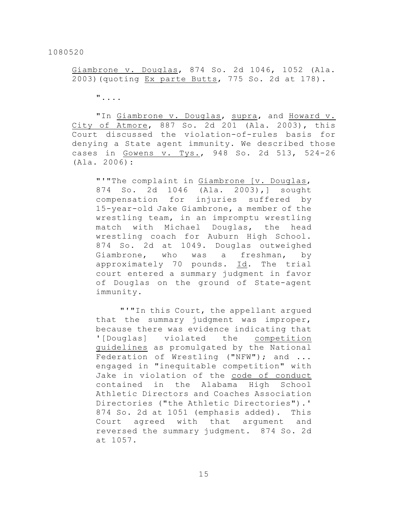Giambrone v. Douglas, 874 So. 2d 1046, 1052 (Ala. 2003)(quoting Ex parte Butts, 775 So. 2d at 178).

"....

"In Giambrone v. Douglas, supra, and Howard v. City of Atmore, 887 So. 2d 201 (Ala. 2003), this Court discussed the violation-of-rules basis for denying a State agent immunity. We described those cases in Gowens v. Tys., 948 So. 2d 513, 524-26 (Ala. 2006):

"'"The complaint in Giambrone [v. Douglas, 874 So. 2d 1046 (Ala. 2003),] sought compensation for injuries suffered by 15-year-old Jake Giambrone, a member of the wrestling team, in an impromptu wrestling match with Michael Douglas, the head wrestling coach for Auburn High School. 874 So. 2d at 1049. Douglas outweighed Giambrone, who was a freshman, by approximately 70 pounds. Id. The trial court entered a summary judgment in favor of Douglas on the ground of State-agent immunity.

"'"In this Court, the appellant argued that the summary judgment was improper, because there was evidence indicating that '[Douglas] violated the competition guidelines as promulgated by the National Federation of Wrestling ("NFW"); and ... engaged in "inequitable competition" with Jake in violation of the code of conduct contained in the Alabama High School Athletic Directors and Coaches Association Directories ("the Athletic Directories").' 874 So. 2d at 1051 (emphasis added). This Court agreed with that argument and reversed the summary judgment. 874 So. 2d at 1057.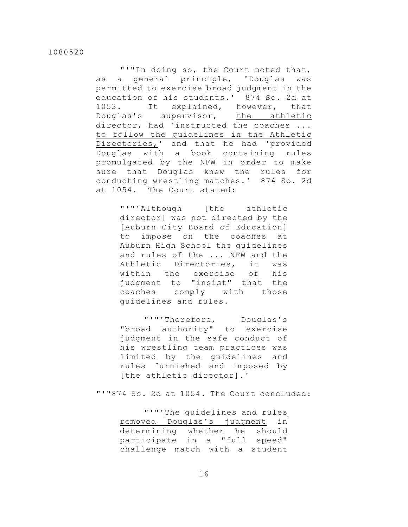"'"In doing so, the Court noted that, as a general principle, 'Douglas was permitted to exercise broad judgment in the education of his students.' 874 So. 2d at 1053. It explained, however, that Douglas's supervisor, the athletic director, had 'instructed the coaches ... to follow the guidelines in the Athletic Directories,' and that he had 'provided Douglas with a book containing rules promulgated by the NFW in order to make sure that Douglas knew the rules for conducting wrestling matches.' 874 So. 2d at 1054. The Court stated:

> "'"'Although [the athletic director] was not directed by the [Auburn City Board of Education] to impose on the coaches at Auburn High School the guidelines and rules of the ... NFW and the Athletic Directories, it was within the exercise of his judgment to "insist" that the coaches comply with those guidelines and rules.

> "'"'Therefore, Douglas's "broad authority" to exercise judgment in the safe conduct of his wrestling team practices was limited by the guidelines and rules furnished and imposed by [the athletic director].'

"'"874 So. 2d at 1054. The Court concluded:

"'"'The guidelines and rules removed Douglas's judgment in determining whether he should participate in a "full speed" challenge match with a student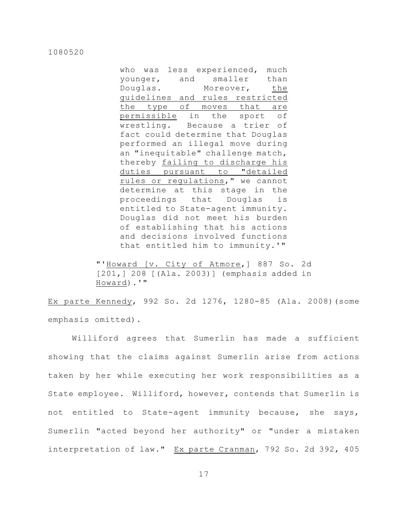who was less experienced, much younger, and smaller than Douglas. Moreover, the guidelines and rules restricted the type of moves that are permissible in the sport of wrestling. Because a trier of fact could determine that Douglas performed an illegal move during an "inequitable" challenge match, thereby failing to discharge his duties pursuant to "detailed rules or regulations," we cannot determine at this stage in the proceedings that Douglas is entitled to State-agent immunity. Douglas did not meet his burden of establishing that his actions and decisions involved functions that entitled him to immunity.'"

"'Howard [v. City of Atmore,] 887 So. 2d [201,] 208 [(Ala. 2003)] (emphasis added in Howard).'"

Ex parte Kennedy, 992 So. 2d 1276, 1280-85 (Ala. 2008)(some emphasis omitted).

Williford agrees that Sumerlin has made a sufficient showing that the claims against Sumerlin arise from actions taken by her while executing her work responsibilities as a State employee. Williford, however, contends that Sumerlin is not entitled to State-agent immunity because, she says, Sumerlin "acted beyond her authority" or "under a mistaken interpretation of law." Ex parte Cranman, 792 So. 2d 392, 405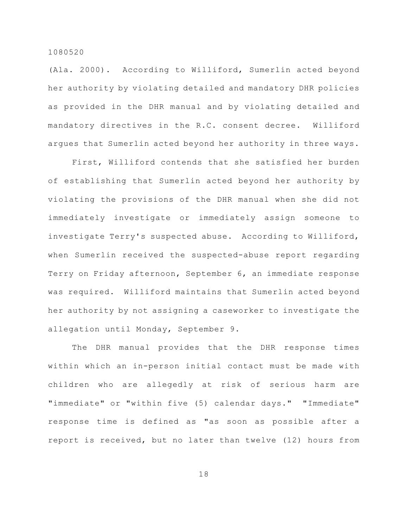(Ala. 2000). According to Williford, Sumerlin acted beyond her authority by violating detailed and mandatory DHR policies as provided in the DHR manual and by violating detailed and mandatory directives in the R.C. consent decree. Williford argues that Sumerlin acted beyond her authority in three ways.

First, Williford contends that she satisfied her burden of establishing that Sumerlin acted beyond her authority by violating the provisions of the DHR manual when she did not immediately investigate or immediately assign someone to investigate Terry's suspected abuse. According to Williford, when Sumerlin received the suspected-abuse report regarding Terry on Friday afternoon, September 6, an immediate response was required. Williford maintains that Sumerlin acted beyond her authority by not assigning a caseworker to investigate the allegation until Monday, September 9.

The DHR manual provides that the DHR response times within which an in-person initial contact must be made with children who are allegedly at risk of serious harm are "immediate" or "within five (5) calendar days." "Immediate" response time is defined as "as soon as possible after a report is received, but no later than twelve (12) hours from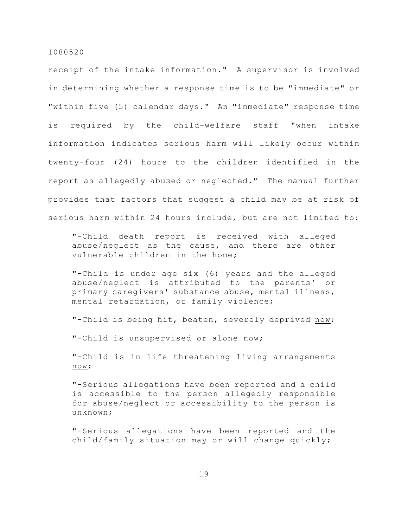receipt of the intake information." A supervisor is involved in determining whether a response time is to be "immediate" or "within five (5) calendar days." An "immediate" response time is required by the child-welfare staff "when intake information indicates serious harm will likely occur within twenty-four (24) hours to the children identified in the report as allegedly abused or neglected." The manual further provides that factors that suggest a child may be at risk of serious harm within 24 hours include, but are not limited to:

"-Child death report is received with alleged abuse/neglect as the cause, and there are other vulnerable children in the home;

"-Child is under age six (6) years and the alleged abuse/neglect is attributed to the parents' or primary caregivers' substance abuse, mental illness, mental retardation, or family violence;

"-Child is being hit, beaten, severely deprived now;

"-Child is unsupervised or alone now;

"-Child is in life threatening living arrangements now;

"-Serious allegations have been reported and a child is accessible to the person allegedly responsible for abuse/neglect or accessibility to the person is unknown;

"-Serious allegations have been reported and the child/family situation may or will change quickly;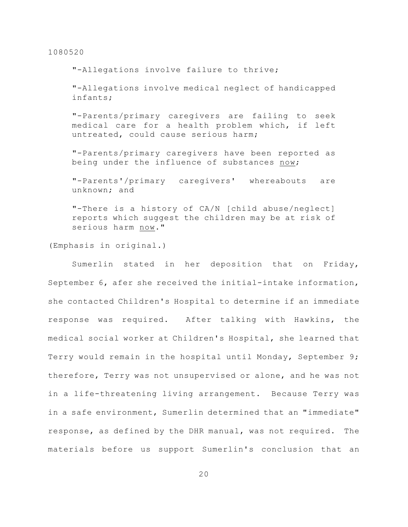"-Allegations involve failure to thrive;

"-Allegations involve medical neglect of handicapped infants;

"-Parents/primary caregivers are failing to seek medical care for a health problem which, if left untreated, could cause serious harm;

"-Parents/primary caregivers have been reported as being under the influence of substances now;

"-Parents'/primary caregivers' whereabouts are unknown; and

"-There is a history of CA/N [child abuse/neglect] reports which suggest the children may be at risk of serious harm now."

(Emphasis in original.)

Sumerlin stated in her deposition that on Friday, September 6, afer she received the initial-intake information, she contacted Children's Hospital to determine if an immediate response was required. After talking with Hawkins, the medical social worker at Children's Hospital, she learned that Terry would remain in the hospital until Monday, September 9; therefore, Terry was not unsupervised or alone, and he was not in a life-threatening living arrangement. Because Terry was in a safe environment, Sumerlin determined that an "immediate" response, as defined by the DHR manual, was not required. The materials before us support Sumerlin's conclusion that an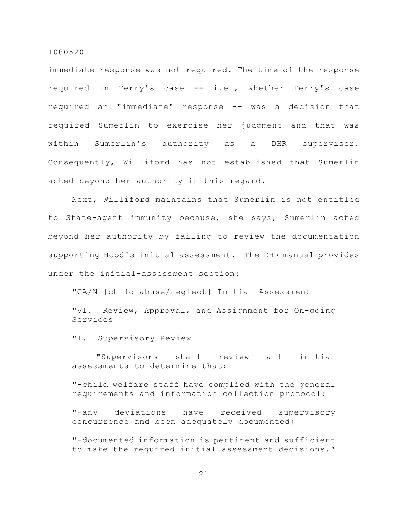immediate response was not required. The time of the response required in Terry's case -- i.e., whether Terry's case required an "immediate" response -- was a decision that required Sumerlin to exercise her judgment and that was within Sumerlin's authority as a DHR supervisor. Consequently, Williford has not established that Sumerlin acted beyond her authority in this regard.

Next, Williford maintains that Sumerlin is not entitled to State-agent immunity because, she says, Sumerlin acted beyond her authority by failing to review the documentation supporting Hood's initial assessment. The DHR manual provides under the initial-assessment section:

"CA/N [child abuse/neglect] Initial Assessment

"VI. Review, Approval, and Assignment for On-going Services

"1. Supervisory Review

"Supervisors shall review all initial assessments to determine that:

"-child welfare staff have complied with the general requirements and information collection protocol;

"-any deviations have received supervisory concurrence and been adequately documented;

"-documented information is pertinent and sufficient to make the required initial assessment decisions."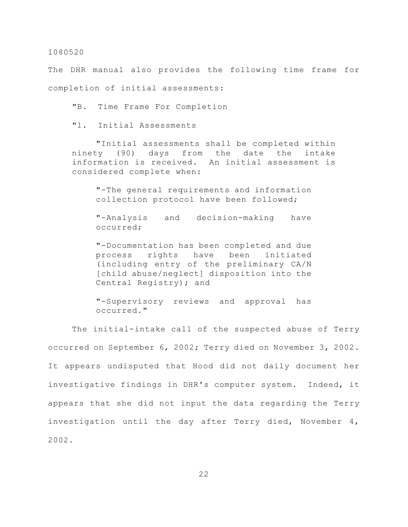The DHR manual also provides the following time frame for completion of initial assessments:

"B. Time Frame For Completion

"1. Initial Assessments

"Initial assessments shall be completed within ninety (90) days from the date the intake information is received. An initial assessment is considered complete when:

"-The general requirements and information collection protocol have been followed;

"-Analysis and decision-making have occurred;

"-Documentation has been completed and due process rights have been initiated (including entry of the preliminary CA/N [child abuse/neglect] disposition into the Central Registry); and

"-Supervisory reviews and approval has occurred."

The initial-intake call of the suspected abuse of Terry occurred on September 6, 2002; Terry died on November 3, 2002. It appears undisputed that Hood did not daily document her investigative findings in DHR's computer system. Indeed, it appears that she did not input the data regarding the Terry investigation until the day after Terry died, November 4, 2002.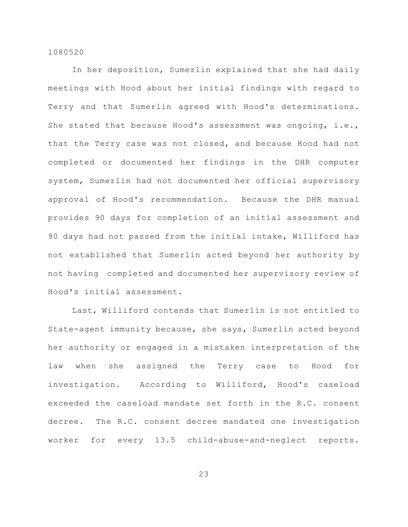In her deposition, Sumerlin explained that she had daily meetings with Hood about her initial findings with regard to Terry and that Sumerlin agreed with Hood's determinations. She stated that because Hood's assessment was ongoing, i.e., that the Terry case was not closed, and because Hood had not completed or documented her findings in the DHR computer system, Sumerlin had not documented her official supervisory approval of Hood's recommendation. Because the DHR manual provides 90 days for completion of an initial assessment and 90 days had not passed from the initial intake, Williford has not established that Sumerlin acted beyond her authority by not having completed and documented her supervisory review of Hood's initial assessment.

Last, Williford contends that Sumerlin is not entitled to State-agent immunity because, she says, Sumerlin acted beyond her authority or engaged in a mistaken interpretation of the law when she assigned the Terry case to Hood for investigation. According to Williford, Hood's caseload exceeded the caseload mandate set forth in the R.C. consent decree. The R.C. consent decree mandated one investigation worker for every 13.5 child-abuse-and-neglect reports.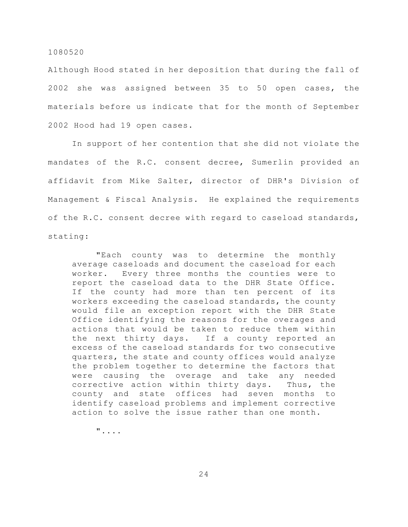Although Hood stated in her deposition that during the fall of 2002 she was assigned between 35 to 50 open cases, the materials before us indicate that for the month of September 2002 Hood had 19 open cases.

In support of her contention that she did not violate the mandates of the R.C. consent decree, Sumerlin provided an affidavit from Mike Salter, director of DHR's Division of Management & Fiscal Analysis. He explained the requirements of the R.C. consent decree with regard to caseload standards, stating:

"Each county was to determine the monthly average caseloads and document the caseload for each worker. Every three months the counties were to report the caseload data to the DHR State Office. If the county had more than ten percent of its workers exceeding the caseload standards, the county would file an exception report with the DHR State Office identifying the reasons for the overages and actions that would be taken to reduce them within the next thirty days. If a county reported an excess of the caseload standards for two consecutive quarters, the state and county offices would analyze the problem together to determine the factors that were causing the overage and take any needed corrective action within thirty days. Thus, the county and state offices had seven months to identify caseload problems and implement corrective action to solve the issue rather than one month.

"....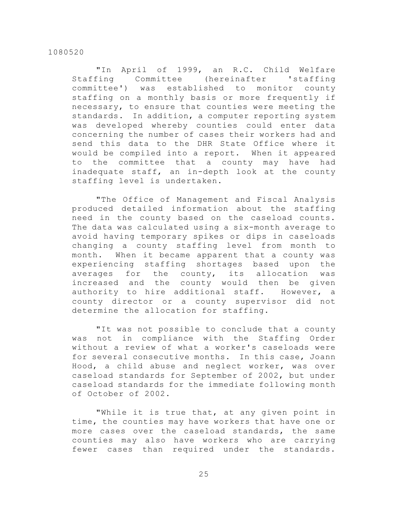"In April of 1999, an R.C. Child Welfare Staffing Committee (hereinafter 'staffing committee') was established to monitor county staffing on a monthly basis or more frequently if necessary, to ensure that counties were meeting the standards. In addition, a computer reporting system was developed whereby counties could enter data concerning the number of cases their workers had and send this data to the DHR State Office where it would be compiled into a report. When it appeared to the committee that a county may have had inadequate staff, an in-depth look at the county staffing level is undertaken.

"The Office of Management and Fiscal Analysis produced detailed information about the staffing need in the county based on the caseload counts. The data was calculated using a six-month average to avoid having temporary spikes or dips in caseloads changing a county staffing level from month to month. When it became apparent that a county was experiencing staffing shortages based upon the averages for the county, its allocation was increased and the county would then be given authority to hire additional staff. However, a county director or a county supervisor did not determine the allocation for staffing.

"It was not possible to conclude that a county was not in compliance with the Staffing Order without a review of what a worker's caseloads were for several consecutive months. In this case, Joann Hood, a child abuse and neglect worker, was over caseload standards for September of 2002, but under caseload standards for the immediate following month of October of 2002.

"While it is true that, at any given point in time, the counties may have workers that have one or more cases over the caseload standards, the same counties may also have workers who are carrying fewer cases than required under the standards.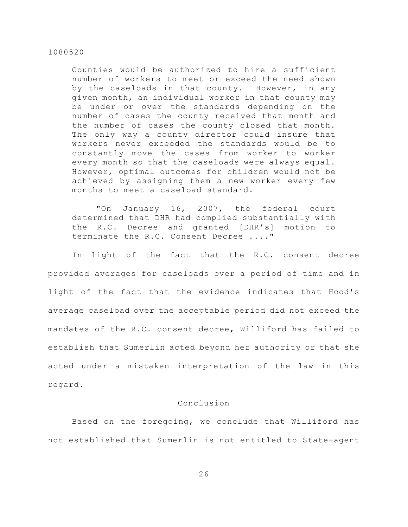Counties would be authorized to hire a sufficient number of workers to meet or exceed the need shown by the caseloads in that county. However, in any given month, an individual worker in that county may be under or over the standards depending on the number of cases the county received that month and the number of cases the county closed that month. The only way a county director could insure that workers never exceeded the standards would be to constantly move the cases from worker to worker every month so that the caseloads were always equal. However, optimal outcomes for children would not be achieved by assigning them a new worker every few months to meet a caseload standard.

"On January 16, 2007, the federal court determined that DHR had complied substantially with the R.C. Decree and granted [DHR's] motion to terminate the R.C. Consent Decree ...."

In light of the fact that the R.C. consent decree provided averages for caseloads over a period of time and in light of the fact that the evidence indicates that Hood's average caseload over the acceptable period did not exceed the mandates of the R.C. consent decree, Williford has failed to establish that Sumerlin acted beyond her authority or that she acted under a mistaken interpretation of the law in this regard.

## Conclusion

Based on the foregoing, we conclude that Williford has not established that Sumerlin is not entitled to State-agent